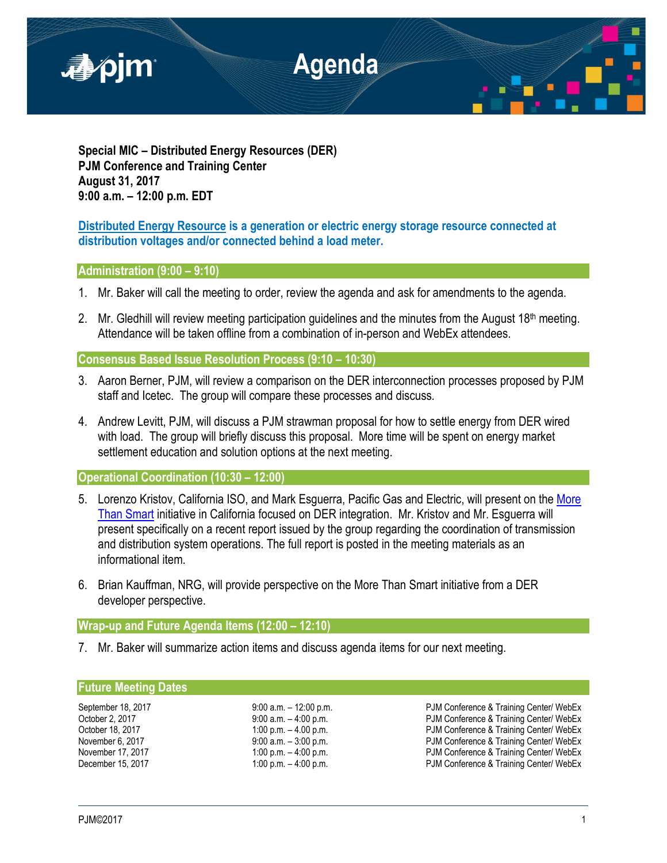

**Special MIC – Distributed Energy Resources (DER) PJM Conference and Training Center August 31, 2017 9:00 a.m. – 12:00 p.m. EDT**

# **Distributed Energy Resource is a generation or electric energy storage resource connected at distribution voltages and/or connected behind a load meter.**

## **Administration (9:00 – 9:10)**

- 1. Mr. Baker will call the meeting to order, review the agenda and ask for amendments to the agenda.
- 2. Mr. Gledhill will review meeting participation guidelines and the minutes from the August 18th meeting. Attendance will be taken offline from a combination of in-person and WebEx attendees.

**Consensus Based Issue Resolution Process (9:10 – 10:30)**

- 3. Aaron Berner, PJM, will review a comparison on the DER interconnection processes proposed by PJM staff and Icetec. The group will compare these processes and discuss.
- 4. Andrew Levitt, PJM, will discuss a PJM strawman proposal for how to settle energy from DER wired with load. The group will briefly discuss this proposal. More time will be spent on energy market settlement education and solution options at the next meeting.

**Operational Coordination (10:30 – 12:00)**

- 5. Lorenzo Kristov, California ISO, and Mark Esquerra, Pacific Gas and Electric, will present on the More [Than Smart](http://morethansmart.org/) initiative in California focused on DER integration. Mr. Kristov and Mr. Esguerra will present specifically on a recent report issued by the group regarding the coordination of transmission and distribution system operations. The full report is posted in the meeting materials as an informational item.
- 6. Brian Kauffman, NRG, will provide perspective on the More Than Smart initiative from a DER developer perspective.

# **Wrap-up and Future Agenda Items (12:00 – 12:10)**

7. Mr. Baker will summarize action items and discuss agenda items for our next meeting.

## **Future Meeting Dates**

September 18, 2017 **9:00 a.m.** – 12:00 p.m. **PJM Conference & Training Center/ WebEx** October 2, 2017 **19:00 a.m.** – 4:00 p.m. PJM Conference & Training Center/ WebEx<br>October 18, 2017 **1:00 p.m.** – 4.00 p.m. PJM Conference & Training Center/ WebEx PJM Conference & Training Center/ WebEx November 6, 2017 9:00 a.m. – 3:00 p.m. PJM Conference & Training Center/ WebEx 1:00 p.m. – 4:00 p.m.<br>1:00 p.m. – 4:00 p.m. PJM Conference & Training Center/ WebEx December 15, 2017 **1:00 p.m. – 4:00 p.m.** PJM Conference & Training Center/ WebEx